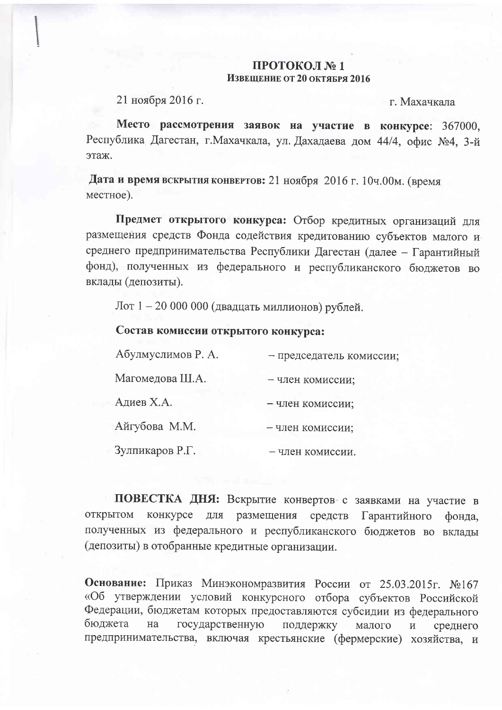## ПРОТОКОЛ №1 Извешение от 20 октября 2016

21 ноября 2016 г.

г. Махачкала

Место рассмотрения заявок на участие в конкурсе: 367000, Республика Дагестан, г. Махачкала, ул. Дахадаева дом 44/4, офис №4, 3-й этаж.

Дата и время вскрытия конвертов: 21 ноября 2016 г. 10ч.00м. (время местное).

Предмет открытого конкурса: Отбор кредитных организаций для размещения средств Фонда содействия кредитованию субъектов малого и среднего предпринимательства Республики Дагестан (далее - Гарантийный фонд), полученных из федерального и республиканского бюджетов во вклады (депозиты).

Лот 1 – 20 000 000 (двадцать миллионов) рублей.

## Состав комиссии открытого конкурса:

| Абулмуслимов Р. А. | - председатель комиссии: |
|--------------------|--------------------------|
| Магомедова Ш.А.    | - член комиссии;         |
| Адиев Х.А.         | - член комиссии;         |
| Айгубова М.М.      | - член комиссии;         |
| Зулпикаров Р.Г.    | – член комиссии          |

ПОВЕСТКА ДНЯ: Вскрытие конвертов с заявками на участие в **ОТКРЫТОМ** конкурсе для размещения средств Гарантийного фонда. полученных из федерального и республиканского бюджетов во вклады (депозиты) в отобранные кредитные организации.

Основание: Приказ Минэкономразвития России от 25.03.2015г. №167 «Об утверждении условий конкурсного отбора субъектов Российской Федерации, бюджетам которых предоставляются субсидии из федерального бюджета государственную на поддержку малого  $\,$  M среднего предпринимательства, включая крестьянские (фермерские) хозяйства, и